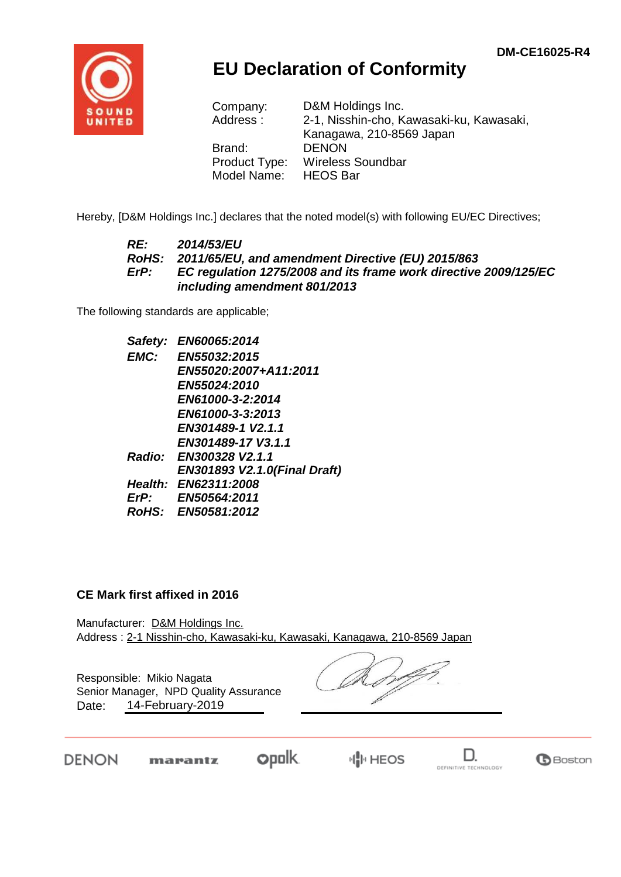

## **EU Declaration of Conformity**

| D&M Holdings Inc.                        |
|------------------------------------------|
| 2-1, Nisshin-cho, Kawasaki-ku, Kawasaki, |
| Kanagawa, 210-8569 Japan                 |
| <b>DENON</b>                             |
| <b>Wireless Soundbar</b>                 |
| <b>HEOS Bar</b>                          |
|                                          |

Hereby, [D&M Holdings Inc.] declares that the noted model(s) with following EU/EC Directives;

#### *RE: 2014/53/EU RoHS: 2011/65/EU, and amendment Directive (EU) 2015/863 ErP: EC regulation 1275/2008 and its frame work directive 2009/125/EC including amendment 801/2013*

The following standards are applicable;

*Safety: EN60065:2014 EMC: EN55032:2015 EN55020:2007+A11:2011 EN55024:2010 EN61000-3-2:2014 EN61000-3-3:2013 EN301489-1 V2.1.1 EN301489-17 V3.1.1 Radio: EN300328 V2.1.1 EN301893 V2.1.0(Final Draft) Health: EN62311:2008 ErP: EN50564:2011 RoHS: EN50581:2012*

#### **CE Mark first affixed in 2016**

Manufacturer: D&M Holdings Inc. Address : 2-1 Nisshin-cho, Kawasaki-ku, Kawasaki, Kanagawa, 210-8569 Japan

Responsible: Mikio Nagata Date: 14-February-2019 Senior Manager, NPD Quality Assurance

DENON

**opolk** marantz

 $\mathbb{H}^1$  HEOS

D. DEFINITIVE TECHNOLOGY

**B**Boston